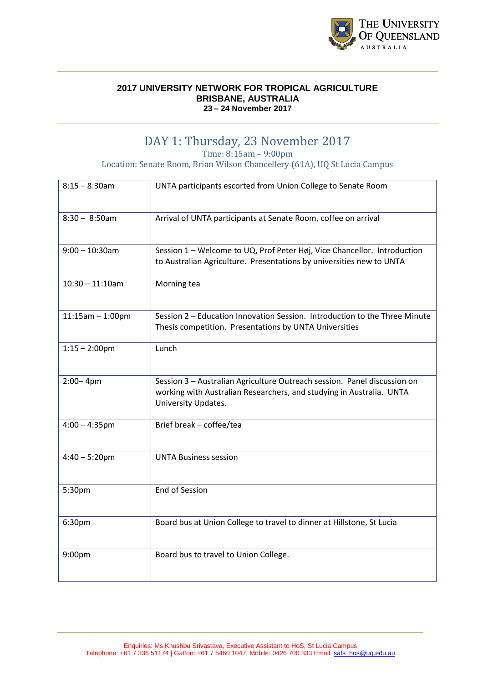

## DAY 1: Thursday, 23 November 2017

Time: 8:15am – 9:00pm

Location: Senate Room, Brian Wilson Chancellery (61A), UQ St Lucia Campus

| $8:15 - 8:30$ am   | UNTA participants escorted from Union College to Senate Room                                                                                                            |
|--------------------|-------------------------------------------------------------------------------------------------------------------------------------------------------------------------|
| $8:30 - 8:50$ am   | Arrival of UNTA participants at Senate Room, coffee on arrival                                                                                                          |
| $9:00 - 10:30$ am  | Session 1 - Welcome to UQ, Prof Peter Høj, Vice Chancellor. Introduction<br>to Australian Agriculture. Presentations by universities new to UNTA                        |
| $10:30 - 11:10$ am | Morning tea                                                                                                                                                             |
| $11:15am - 1:00pm$ | Session 2 - Education Innovation Session. Introduction to the Three Minute<br>Thesis competition. Presentations by UNTA Universities                                    |
| $1:15 - 2:00$ pm   | Lunch                                                                                                                                                                   |
| $2:00 - 4pm$       | Session 3 - Australian Agriculture Outreach session. Panel discussion on<br>working with Australian Researchers, and studying in Australia. UNTA<br>University Updates. |
| $4:00 - 4:35$ pm   | Brief break - coffee/tea                                                                                                                                                |
| $4:40 - 5:20$ pm   | <b>UNTA Business session</b>                                                                                                                                            |
| 5:30pm             | <b>End of Session</b>                                                                                                                                                   |
| 6:30pm             | Board bus at Union College to travel to dinner at Hillstone, St Lucia                                                                                                   |
| 9:00pm             | Board bus to travel to Union College.                                                                                                                                   |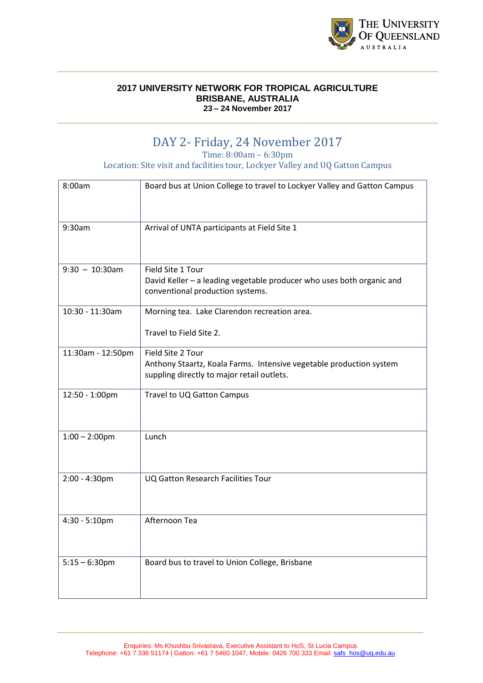

## DAY 2- Friday, 24 November 2017

Time: 8:00am – 6:30pm

Location: Site visit and facilities tour, Lockyer Valley and UQ Gatton Campus

| 8:00am            | Board bus at Union College to travel to Lockyer Valley and Gatton Campus                                                               |
|-------------------|----------------------------------------------------------------------------------------------------------------------------------------|
| 9:30am            | Arrival of UNTA participants at Field Site 1                                                                                           |
| $9:30 - 10:30$ am | Field Site 1 Tour<br>David Keller - a leading vegetable producer who uses both organic and<br>conventional production systems.         |
| 10:30 - 11:30am   | Morning tea. Lake Clarendon recreation area.<br>Travel to Field Site 2.                                                                |
| 11:30am - 12:50pm | Field Site 2 Tour<br>Anthony Staartz, Koala Farms. Intensive vegetable production system<br>suppling directly to major retail outlets. |
| 12:50 - 1:00pm    | Travel to UQ Gatton Campus                                                                                                             |
| $1:00 - 2:00$ pm  | Lunch                                                                                                                                  |
| 2:00 - 4:30pm     | UQ Gatton Research Facilities Tour                                                                                                     |
| 4:30 - 5:10pm     | Afternoon Tea                                                                                                                          |
| $5:15 - 6:30$ pm  | Board bus to travel to Union College, Brisbane                                                                                         |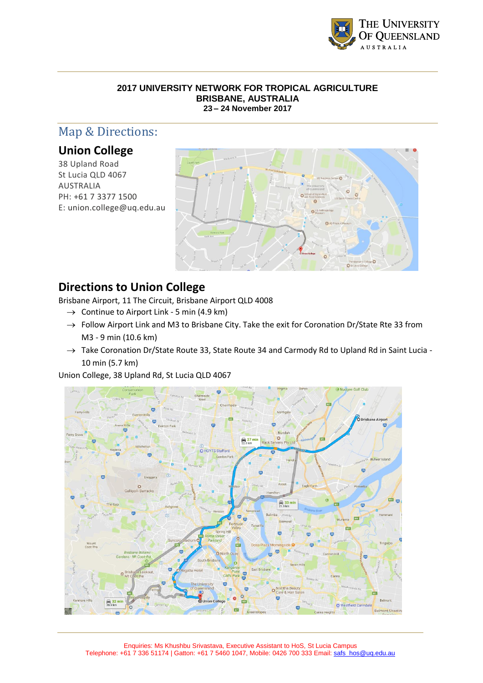

# Map & Directions:

### **Union College**

38 Upland Road St Lucia QLD 4067 AUSTRALIA PH: [+61 7 3377 1500](tel:+61733771500) E: [union.college@uq.edu.au](mailto:union.college@uq.edu.au)



## **Directions to Union College**

Brisbane Airport, 11 The Circuit, Brisbane Airport QLD 4008

- $\rightarrow$  Continue to Airport Link 5 min (4.9 km)
- $\rightarrow$  Follow Airport Link and M3 to Brisbane City. Take the exit for Coronation Dr/State Rte 33 from M3 - 9 min (10.6 km)
- $\rightarrow$  Take Coronation Dr/State Route 33, State Route 34 and Carmody Rd to Upland Rd in Saint Lucia -10 min (5.7 km)

Union College, 38 Upland Rd, St Lucia QLD 4067